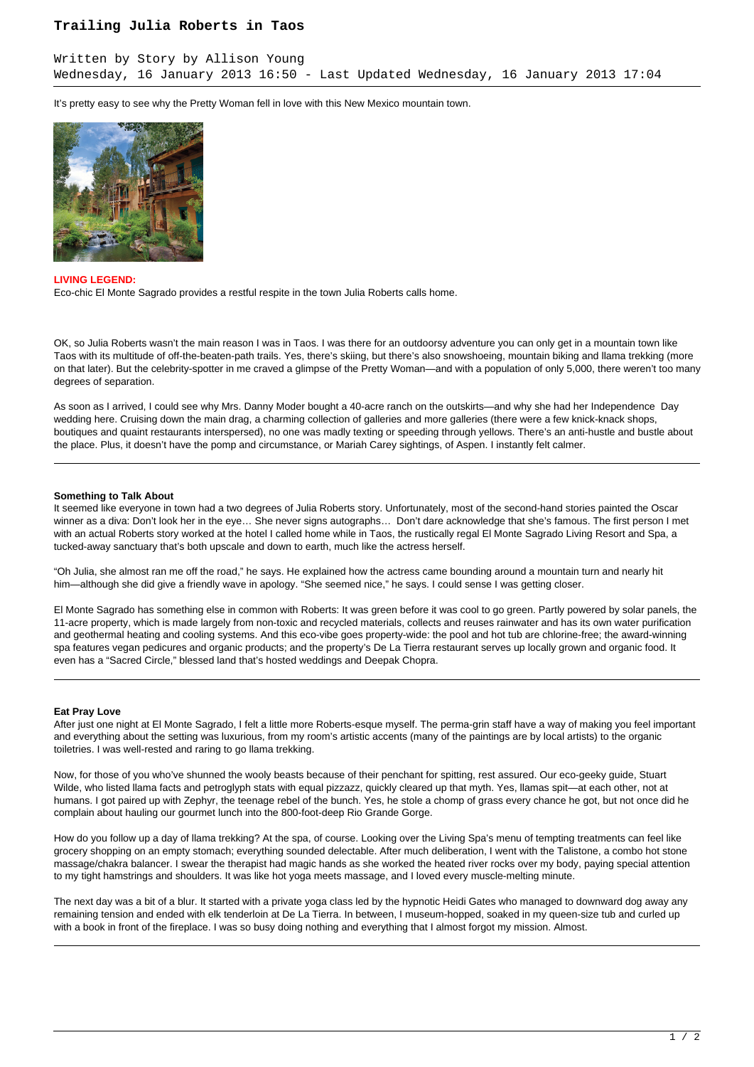## **Trailing Julia Roberts in Taos**

It's pretty easy to see why the Pretty Woman fell in love with this New Mexico mountain town.



**LIVING LEGEND:**

Eco-chic El Monte Sagrado provides a restful respite in the town Julia Roberts calls home.

OK, so Julia Roberts wasn't the main reason I was in Taos. I was there for an outdoorsy adventure you can only get in a mountain town like Taos with its multitude of off-the-beaten-path trails. Yes, there's skiing, but there's also snowshoeing, mountain biking and llama trekking (more on that later). But the celebrity-spotter in me craved a glimpse of the Pretty Woman—and with a population of only 5,000, there weren't too many degrees of separation.

As soon as I arrived, I could see why Mrs. Danny Moder bought a 40-acre ranch on the outskirts—and why she had her Independence Day wedding here. Cruising down the main drag, a charming collection of galleries and more galleries (there were a few knick-knack shops, boutiques and quaint restaurants interspersed), no one was madly texting or speeding through yellows. There's an anti-hustle and bustle about the place. Plus, it doesn't have the pomp and circumstance, or Mariah Carey sightings, of Aspen. I instantly felt calmer.

### **Something to Talk About**

It seemed like everyone in town had a two degrees of Julia Roberts story. Unfortunately, most of the second-hand stories painted the Oscar winner as a diva: Don't look her in the eye… She never signs autographs… Don't dare acknowledge that she's famous. The first person I met with an actual Roberts story worked at the hotel I called home while in Taos, the rustically regal El Monte Sagrado Living Resort and Spa, a tucked-away sanctuary that's both upscale and down to earth, much like the actress herself.

"Oh Julia, she almost ran me off the road," he says. He explained how the actress came bounding around a mountain turn and nearly hit him—although she did give a friendly wave in apology. "She seemed nice," he says. I could sense I was getting closer.

El Monte Sagrado has something else in common with Roberts: It was green before it was cool to go green. Partly powered by solar panels, the 11-acre property, which is made largely from non-toxic and recycled materials, collects and reuses rainwater and has its own water purification and geothermal heating and cooling systems. And this eco-vibe goes property-wide: the pool and hot tub are chlorine-free; the award-winning spa features vegan pedicures and organic products; and the property's De La Tierra restaurant serves up locally grown and organic food. It even has a "Sacred Circle," blessed land that's hosted weddings and Deepak Chopra.

#### **Eat Pray Love**

After just one night at El Monte Sagrado, I felt a little more Roberts-esque myself. The perma-grin staff have a way of making you feel important and everything about the setting was luxurious, from my room's artistic accents (many of the paintings are by local artists) to the organic toiletries. I was well-rested and raring to go llama trekking.

Now, for those of you who've shunned the wooly beasts because of their penchant for spitting, rest assured. Our eco-geeky guide, Stuart Wilde, who listed llama facts and petroglyph stats with equal pizzazz, quickly cleared up that myth. Yes, llamas spit—at each other, not at humans. I got paired up with Zephyr, the teenage rebel of the bunch. Yes, he stole a chomp of grass every chance he got, but not once did he complain about hauling our gourmet lunch into the 800-foot-deep Rio Grande Gorge.

How do you follow up a day of llama trekking? At the spa, of course. Looking over the Living Spa's menu of tempting treatments can feel like grocery shopping on an empty stomach; everything sounded delectable. After much deliberation, I went with the Talistone, a combo hot stone massage/chakra balancer. I swear the therapist had magic hands as she worked the heated river rocks over my body, paying special attention to my tight hamstrings and shoulders. It was like hot yoga meets massage, and I loved every muscle-melting minute.

The next day was a bit of a blur. It started with a private yoga class led by the hypnotic Heidi Gates who managed to downward dog away any remaining tension and ended with elk tenderloin at De La Tierra. In between, I museum-hopped, soaked in my queen-size tub and curled up with a book in front of the fireplace. I was so busy doing nothing and everything that I almost forgot my mission. Almost.